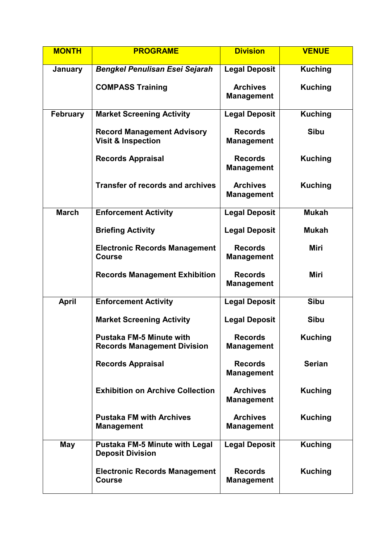| <b>MONTH</b>    | <b>PROGRAME</b>                                                       | <b>Division</b>                      | <b>VENUE</b>   |
|-----------------|-----------------------------------------------------------------------|--------------------------------------|----------------|
| January         | <b>Bengkel Penulisan Esei Sejarah</b>                                 | <b>Legal Deposit</b>                 | <b>Kuching</b> |
|                 | <b>COMPASS Training</b>                                               | <b>Archives</b><br><b>Management</b> | <b>Kuching</b> |
| <b>February</b> | <b>Market Screening Activity</b>                                      | <b>Legal Deposit</b>                 | <b>Kuching</b> |
|                 | <b>Record Management Advisory</b><br><b>Visit &amp; Inspection</b>    | <b>Records</b><br><b>Management</b>  | <b>Sibu</b>    |
|                 | <b>Records Appraisal</b>                                              | <b>Records</b><br><b>Management</b>  | <b>Kuching</b> |
|                 | <b>Transfer of records and archives</b>                               | <b>Archives</b><br><b>Management</b> | <b>Kuching</b> |
| <b>March</b>    | <b>Enforcement Activity</b>                                           | <b>Legal Deposit</b>                 | <b>Mukah</b>   |
|                 | <b>Briefing Activity</b>                                              | <b>Legal Deposit</b>                 | <b>Mukah</b>   |
|                 | <b>Electronic Records Management</b><br><b>Course</b>                 | <b>Records</b><br><b>Management</b>  | <b>Miri</b>    |
|                 | <b>Records Management Exhibition</b>                                  | <b>Records</b><br><b>Management</b>  | <b>Miri</b>    |
| <b>April</b>    | <b>Enforcement Activity</b>                                           | <b>Legal Deposit</b>                 | <b>Sibu</b>    |
|                 | <b>Market Screening Activity</b>                                      | <b>Legal Deposit</b>                 | <b>Sibu</b>    |
|                 | <b>Pustaka FM-5 Minute with</b><br><b>Records Management Division</b> | <b>Records</b><br><b>Management</b>  | <b>Kuching</b> |
|                 | <b>Records Appraisal</b>                                              | <b>Records</b><br><b>Management</b>  | <b>Serian</b>  |
|                 | <b>Exhibition on Archive Collection</b>                               | <b>Archives</b><br><b>Management</b> | <b>Kuching</b> |
|                 | <b>Pustaka FM with Archives</b><br><b>Management</b>                  | <b>Archives</b><br><b>Management</b> | <b>Kuching</b> |
| <b>May</b>      | <b>Pustaka FM-5 Minute with Legal</b><br><b>Deposit Division</b>      | <b>Legal Deposit</b>                 | <b>Kuching</b> |
|                 | <b>Electronic Records Management</b><br><b>Course</b>                 | <b>Records</b><br><b>Management</b>  | <b>Kuching</b> |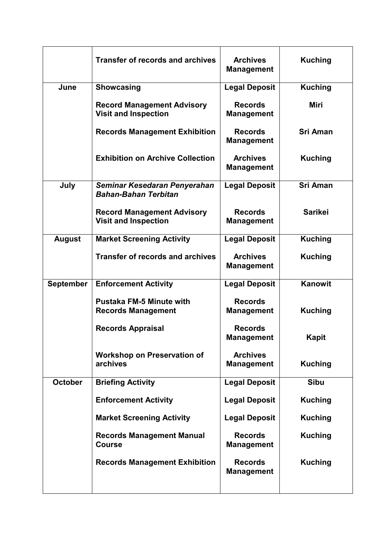|                  | <b>Transfer of records and archives</b>                          | <b>Archives</b><br><b>Management</b> | <b>Kuching</b>  |
|------------------|------------------------------------------------------------------|--------------------------------------|-----------------|
| June             | <b>Showcasing</b>                                                | <b>Legal Deposit</b>                 | <b>Kuching</b>  |
|                  | <b>Record Management Advisory</b><br><b>Visit and Inspection</b> | <b>Records</b><br><b>Management</b>  | Miri            |
|                  | <b>Records Management Exhibition</b>                             | <b>Records</b><br><b>Management</b>  | <b>Sri Aman</b> |
|                  | <b>Exhibition on Archive Collection</b>                          | <b>Archives</b><br><b>Management</b> | <b>Kuching</b>  |
| July             | Seminar Kesedaran Penyerahan<br><b>Bahan-Bahan Terbitan</b>      | <b>Legal Deposit</b>                 | <b>Sri Aman</b> |
|                  | <b>Record Management Advisory</b><br><b>Visit and Inspection</b> | <b>Records</b><br><b>Management</b>  | <b>Sarikei</b>  |
| <b>August</b>    | <b>Market Screening Activity</b>                                 | <b>Legal Deposit</b>                 | <b>Kuching</b>  |
|                  | <b>Transfer of records and archives</b>                          | <b>Archives</b><br><b>Management</b> | <b>Kuching</b>  |
| <b>September</b> | <b>Enforcement Activity</b>                                      | <b>Legal Deposit</b>                 | <b>Kanowit</b>  |
|                  | <b>Pustaka FM-5 Minute with</b><br><b>Records Management</b>     | <b>Records</b><br><b>Management</b>  | <b>Kuching</b>  |
|                  | <b>Records Appraisal</b>                                         | <b>Records</b><br><b>Management</b>  | <b>Kapit</b>    |
|                  | <b>Workshop on Preservation of</b><br>archives                   | <b>Archives</b><br><b>Management</b> | <b>Kuching</b>  |
| <b>October</b>   | <b>Briefing Activity</b>                                         | <b>Legal Deposit</b>                 | <b>Sibu</b>     |
|                  | <b>Enforcement Activity</b>                                      | <b>Legal Deposit</b>                 | <b>Kuching</b>  |
|                  | <b>Market Screening Activity</b>                                 | <b>Legal Deposit</b>                 | <b>Kuching</b>  |
|                  | <b>Records Management Manual</b><br><b>Course</b>                | <b>Records</b><br><b>Management</b>  | <b>Kuching</b>  |
|                  | <b>Records Management Exhibition</b>                             | <b>Records</b><br><b>Management</b>  | <b>Kuching</b>  |
|                  |                                                                  |                                      |                 |